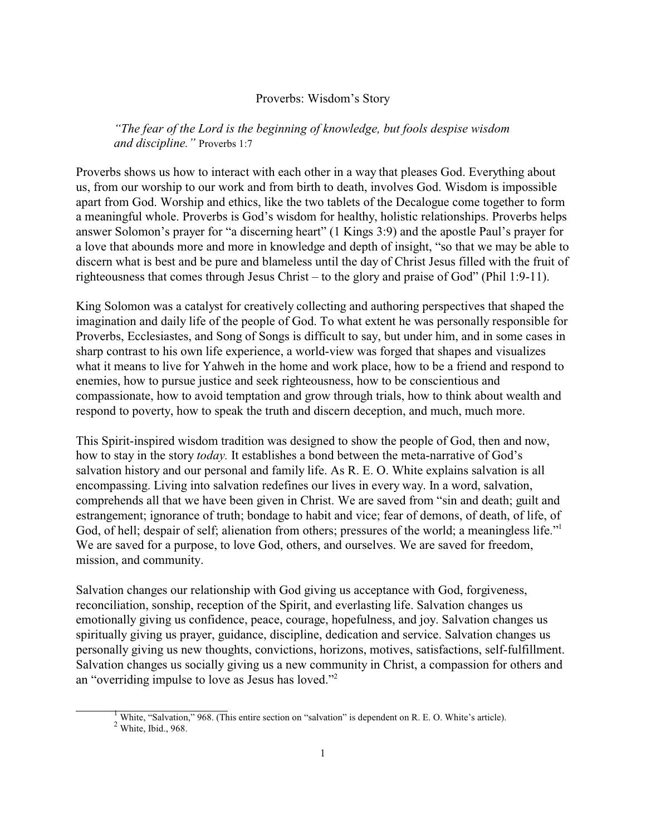## Proverbs: Wisdom's Story

*"The fear of the Lord is the beginning of knowledge, but fools despise wisdom and discipline."* Proverbs 1:7

Proverbs shows us how to interact with each other in a way that pleases God. Everything about us, from our worship to our work and from birth to death, involves God. Wisdom is impossible apart from God. Worship and ethics, like the two tablets of the Decalogue come together to form a meaningful whole. Proverbs is God's wisdom for healthy, holistic relationships. Proverbs helps answer Solomon's prayer for "a discerning heart" (1 Kings 3:9) and the apostle Paul's prayer for a love that abounds more and more in knowledge and depth of insight, "so that we may be able to discern what is best and be pure and blameless until the day of Christ Jesus filled with the fruit of righteousness that comes through Jesus Christ – to the glory and praise of God" (Phil 1:9-11).

King Solomon was a catalyst for creatively collecting and authoring perspectives that shaped the imagination and daily life of the people of God. To what extent he was personally responsible for Proverbs, Ecclesiastes, and Song of Songs is difficult to say, but under him, and in some cases in sharp contrast to his own life experience, a world-view was forged that shapes and visualizes what it means to live for Yahweh in the home and work place, how to be a friend and respond to enemies, how to pursue justice and seek righteousness, how to be conscientious and compassionate, how to avoid temptation and grow through trials, how to think about wealth and respond to poverty, how to speak the truth and discern deception, and much, much more.

This Spirit-inspired wisdom tradition was designed to show the people of God, then and now, how to stay in the story *today.* It establishes a bond between the meta-narrative of God's salvation history and our personal and family life. As R. E. O. White explains salvation is all encompassing. Living into salvation redefines our lives in every way. In a word, salvation, comprehends all that we have been given in Christ. We are saved from "sin and death; guilt and estrangement; ignorance of truth; bondage to habit and vice; fear of demons, of death, of life, of God, of hell; despair of self; alienation from others; pressures of the world; a meaningless life." We are saved for a purpose, to love God, others, and ourselves. We are saved for freedom, mission, and community.

Salvation changes our relationship with God giving us acceptance with God, forgiveness, reconciliation, sonship, reception of the Spirit, and everlasting life. Salvation changes us emotionally giving us confidence, peace, courage, hopefulness, and joy. Salvation changes us spiritually giving us prayer, guidance, discipline, dedication and service. Salvation changes us personally giving us new thoughts, convictions, horizons, motives, satisfactions, self-fulfillment. Salvation changes us socially giving us a new community in Christ, a compassion for others and an "overriding impulse to love as Jesus has loved."<sup>2</sup>

<sup>1</sup> White, "Salvation," 968. (This entire section on "salvation" is dependent on R. E. O. White's article).

 $2$  White, Ibid., 968.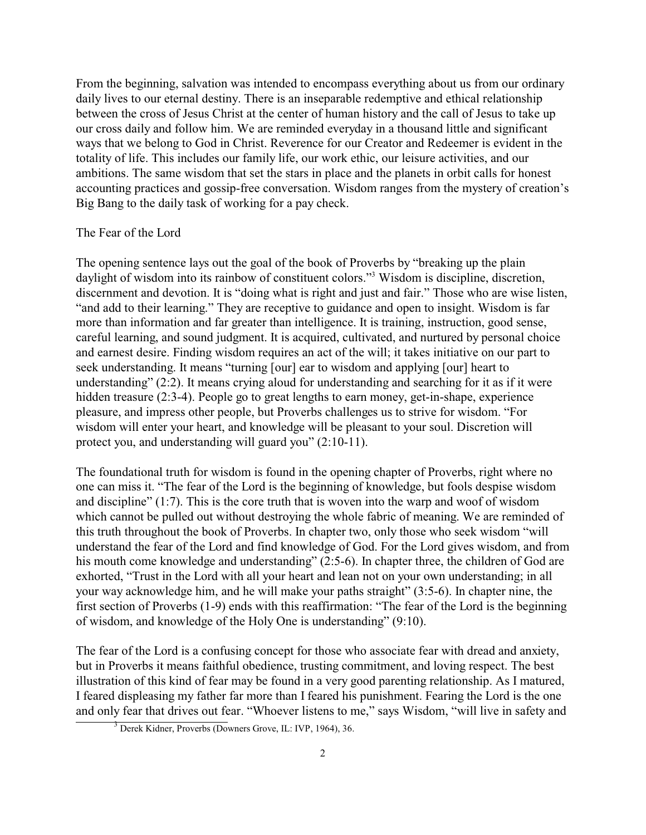From the beginning, salvation was intended to encompass everything about us from our ordinary daily lives to our eternal destiny. There is an inseparable redemptive and ethical relationship between the cross of Jesus Christ at the center of human history and the call of Jesus to take up our cross daily and follow him. We are reminded everyday in a thousand little and significant ways that we belong to God in Christ. Reverence for our Creator and Redeemer is evident in the totality of life. This includes our family life, our work ethic, our leisure activities, and our ambitions. The same wisdom that set the stars in place and the planets in orbit calls for honest accounting practices and gossip-free conversation. Wisdom ranges from the mystery of creation's Big Bang to the daily task of working for a pay check.

## The Fear of the Lord

The opening sentence lays out the goal of the book of Proverbs by "breaking up the plain daylight of wisdom into its rainbow of constituent colors."<sup>3</sup> Wisdom is discipline, discretion, discernment and devotion. It is "doing what is right and just and fair." Those who are wise listen, "and add to their learning." They are receptive to guidance and open to insight. Wisdom is far more than information and far greater than intelligence. It is training, instruction, good sense, careful learning, and sound judgment. It is acquired, cultivated, and nurtured by personal choice and earnest desire. Finding wisdom requires an act of the will; it takes initiative on our part to seek understanding. It means "turning [our] ear to wisdom and applying [our] heart to understanding" (2:2). It means crying aloud for understanding and searching for it as if it were hidden treasure (2:3-4). People go to great lengths to earn money, get-in-shape, experience pleasure, and impress other people, but Proverbs challenges us to strive for wisdom. "For wisdom will enter your heart, and knowledge will be pleasant to your soul. Discretion will protect you, and understanding will guard you" (2:10-11).

The foundational truth for wisdom is found in the opening chapter of Proverbs, right where no one can miss it. "The fear of the Lord is the beginning of knowledge, but fools despise wisdom and discipline" (1:7). This is the core truth that is woven into the warp and woof of wisdom which cannot be pulled out without destroying the whole fabric of meaning. We are reminded of this truth throughout the book of Proverbs. In chapter two, only those who seek wisdom "will understand the fear of the Lord and find knowledge of God. For the Lord gives wisdom, and from his mouth come knowledge and understanding" (2:5-6). In chapter three, the children of God are exhorted, "Trust in the Lord with all your heart and lean not on your own understanding; in all your way acknowledge him, and he will make your paths straight" (3:5-6). In chapter nine, the first section of Proverbs (1-9) ends with this reaffirmation: "The fear of the Lord is the beginning of wisdom, and knowledge of the Holy One is understanding" (9:10).

The fear of the Lord is a confusing concept for those who associate fear with dread and anxiety, but in Proverbs it means faithful obedience, trusting commitment, and loving respect. The best illustration of this kind of fear may be found in a very good parenting relationship. As I matured, I feared displeasing my father far more than I feared his punishment. Fearing the Lord is the one and only fear that drives out fear. "Whoever listens to me," says Wisdom, "will live in safety and

<sup>3</sup> Derek Kidner, Proverbs (Downers Grove, IL: IVP, 1964), 36.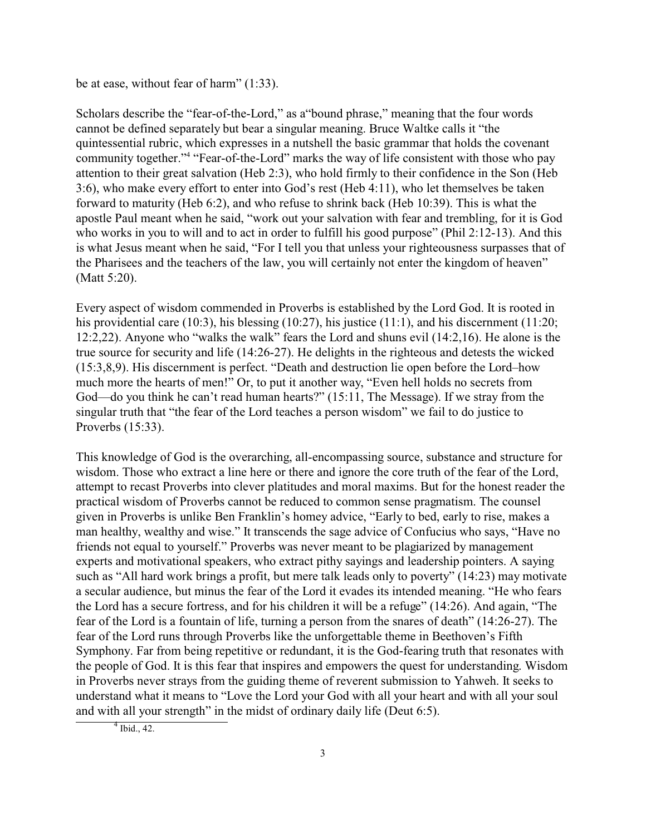be at ease, without fear of harm" (1:33).

Scholars describe the "fear-of-the-Lord," as a"bound phrase," meaning that the four words cannot be defined separately but bear a singular meaning. Bruce Waltke calls it "the quintessential rubric, which expresses in a nutshell the basic grammar that holds the covenant community together."<sup>4</sup> "Fear-of-the-Lord" marks the way of life consistent with those who pay attention to their great salvation (Heb 2:3), who hold firmly to their confidence in the Son (Heb 3:6), who make every effort to enter into God's rest (Heb 4:11), who let themselves be taken forward to maturity (Heb 6:2), and who refuse to shrink back (Heb 10:39). This is what the apostle Paul meant when he said, "work out your salvation with fear and trembling, for it is God who works in you to will and to act in order to fulfill his good purpose" (Phil 2:12-13). And this is what Jesus meant when he said, "For I tell you that unless your righteousness surpasses that of the Pharisees and the teachers of the law, you will certainly not enter the kingdom of heaven" (Matt 5:20).

Every aspect of wisdom commended in Proverbs is established by the Lord God. It is rooted in his providential care (10:3), his blessing (10:27), his justice (11:1), and his discernment (11:20; 12:2,22). Anyone who "walks the walk" fears the Lord and shuns evil (14:2,16). He alone is the true source for security and life (14:26-27). He delights in the righteous and detests the wicked (15:3,8,9). His discernment is perfect. "Death and destruction lie open before the Lord–how much more the hearts of men!" Or, to put it another way, "Even hell holds no secrets from God—do you think he can't read human hearts?" (15:11, The Message). If we stray from the singular truth that "the fear of the Lord teaches a person wisdom" we fail to do justice to Proverbs (15:33).

This knowledge of God is the overarching, all-encompassing source, substance and structure for wisdom. Those who extract a line here or there and ignore the core truth of the fear of the Lord, attempt to recast Proverbs into clever platitudes and moral maxims. But for the honest reader the practical wisdom of Proverbs cannot be reduced to common sense pragmatism. The counsel given in Proverbs is unlike Ben Franklin's homey advice, "Early to bed, early to rise, makes a man healthy, wealthy and wise." It transcends the sage advice of Confucius who says, "Have no friends not equal to yourself." Proverbs was never meant to be plagiarized by management experts and motivational speakers, who extract pithy sayings and leadership pointers. A saying such as "All hard work brings a profit, but mere talk leads only to poverty" (14:23) may motivate a secular audience, but minus the fear of the Lord it evades its intended meaning. "He who fears the Lord has a secure fortress, and for his children it will be a refuge" (14:26). And again, "The fear of the Lord is a fountain of life, turning a person from the snares of death" (14:26-27). The fear of the Lord runs through Proverbs like the unforgettable theme in Beethoven's Fifth Symphony. Far from being repetitive or redundant, it is the God-fearing truth that resonates with the people of God. It is this fear that inspires and empowers the quest for understanding. Wisdom in Proverbs never strays from the guiding theme of reverent submission to Yahweh. It seeks to understand what it means to "Love the Lord your God with all your heart and with all your soul and with all your strength" in the midst of ordinary daily life (Deut 6:5).

 $4$  Ibid., 42.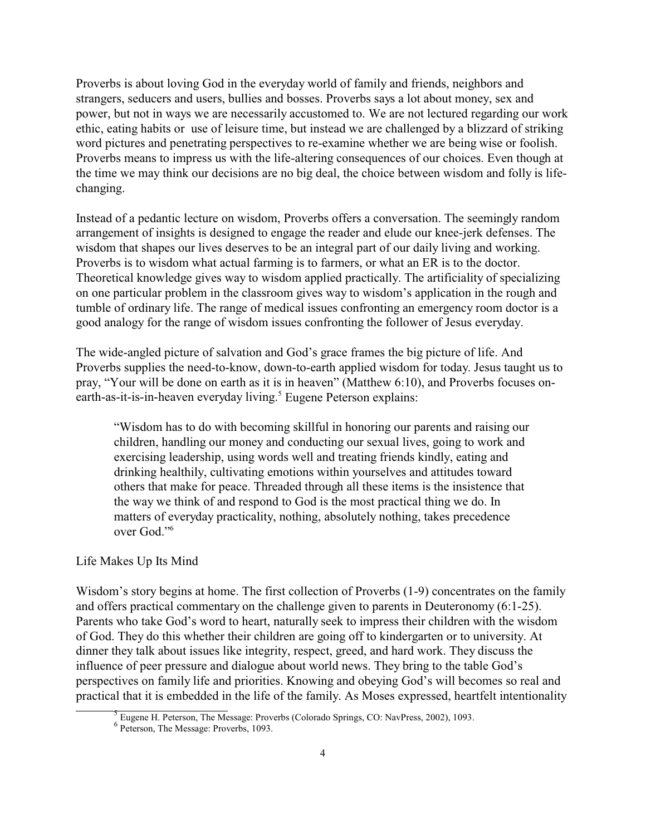Proverbs is about loving God in the everyday world of family and friends, neighbors and strangers, seducers and users, bullies and bosses. Proverbs says a lot about money, sex and power, but not in ways we are necessarily accustomed to. We are not lectured regarding our work ethic, eating habits or use of leisure time, but instead we are challenged by a blizzard of striking word pictures and penetrating perspectives to re-examine whether we are being wise or foolish. Proverbs means to impress us with the life-altering consequences of our choices. Even though at the time we may think our decisions are no big deal, the choice between wisdom and folly is lifechanging.

Instead of a pedantic lecture on wisdom, Proverbs offers a conversation. The seemingly random arrangement of insights is designed to engage the reader and elude our knee-jerk defenses. The wisdom that shapes our lives deserves to be an integral part of our daily living and working. Proverbs is to wisdom what actual farming is to farmers, or what an ER is to the doctor. Theoretical knowledge gives way to wisdom applied practically. The artificiality of specializing on one particular problem in the classroom gives way to wisdom's application in the rough and tumble of ordinary life. The range of medical issues confronting an emergency room doctor is a good analogy for the range of wisdom issues confronting the follower of Jesus everyday.

The wide-angled picture of salvation and God's grace frames the big picture of life. And Proverbs supplies the need-to-know, down-to-earth applied wisdom for today. Jesus taught us to pray, "Your will be done on earth as it is in heaven" (Matthew 6:10), and Proverbs focuses onearth-as-it-is-in-heaven everyday living.<sup>5</sup> Eugene Peterson explains:

"Wisdom has to do with becoming skillful in honoring our parents and raising our children, handling our money and conducting our sexual lives, going to work and exercising leadership, using words well and treating friends kindly, eating and drinking healthily, cultivating emotions within yourselves and attitudes toward others that make for peace. Threaded through all these items is the insistence that the way we think of and respond to God is the most practical thing we do. In matters of everyday practicality, nothing, absolutely nothing, takes precedence over God."<sup>6</sup>

## Life Makes Up Its Mind

Wisdom's story begins at home. The first collection of Proverbs (1-9) concentrates on the family and offers practical commentary on the challenge given to parents in Deuteronomy (6:1-25). Parents who take God's word to heart, naturally seek to impress their children with the wisdom of God. They do this whether their children are going off to kindergarten or to university. At dinner they talk about issues like integrity, respect, greed, and hard work. They discuss the influence of peer pressure and dialogue about world news. They bring to the table God's perspectives on family life and priorities. Knowing and obeying God's will becomes so real and practical that it is embedded in the life of the family. As Moses expressed, heartfelt intentionality

Eugene H. Peterson, The Message: Proverbs (Colorado Springs, CO: NavPress, 2002), 1093.

<sup>6</sup> Peterson, The Message: Proverbs, 1093.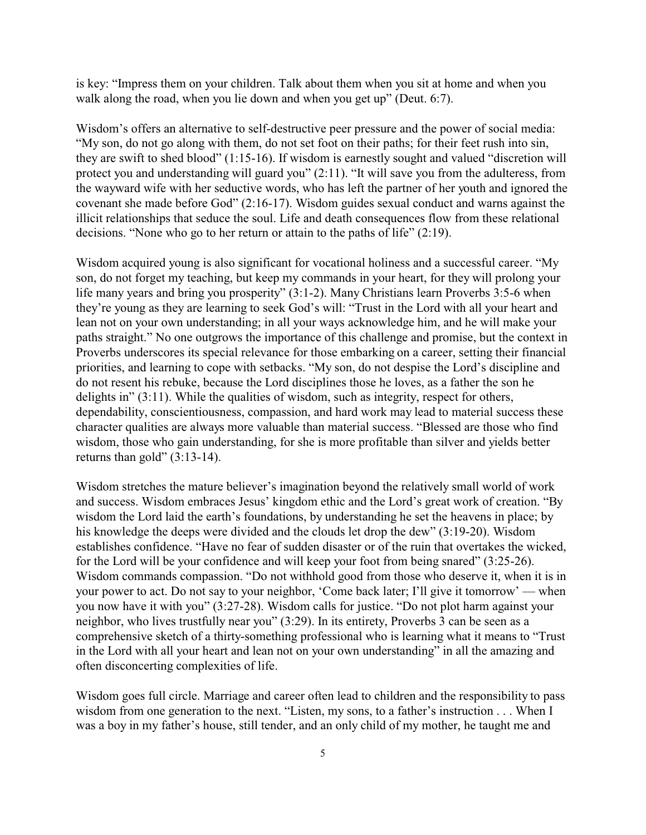is key: "Impress them on your children. Talk about them when you sit at home and when you walk along the road, when you lie down and when you get up" (Deut. 6:7).

Wisdom's offers an alternative to self-destructive peer pressure and the power of social media: "My son, do not go along with them, do not set foot on their paths; for their feet rush into sin, they are swift to shed blood" (1:15-16). If wisdom is earnestly sought and valued "discretion will protect you and understanding will guard you" (2:11). "It will save you from the adulteress, from the wayward wife with her seductive words, who has left the partner of her youth and ignored the covenant she made before God" (2:16-17). Wisdom guides sexual conduct and warns against the illicit relationships that seduce the soul. Life and death consequences flow from these relational decisions. "None who go to her return or attain to the paths of life" (2:19).

Wisdom acquired young is also significant for vocational holiness and a successful career. "My son, do not forget my teaching, but keep my commands in your heart, for they will prolong your life many years and bring you prosperity" (3:1-2). Many Christians learn Proverbs 3:5-6 when they're young as they are learning to seek God's will: "Trust in the Lord with all your heart and lean not on your own understanding; in all your ways acknowledge him, and he will make your paths straight." No one outgrows the importance of this challenge and promise, but the context in Proverbs underscores its special relevance for those embarking on a career, setting their financial priorities, and learning to cope with setbacks. "My son, do not despise the Lord's discipline and do not resent his rebuke, because the Lord disciplines those he loves, as a father the son he delights in" (3:11). While the qualities of wisdom, such as integrity, respect for others, dependability, conscientiousness, compassion, and hard work may lead to material success these character qualities are always more valuable than material success. "Blessed are those who find wisdom, those who gain understanding, for she is more profitable than silver and yields better returns than gold" (3:13-14).

Wisdom stretches the mature believer's imagination beyond the relatively small world of work and success. Wisdom embraces Jesus' kingdom ethic and the Lord's great work of creation. "By wisdom the Lord laid the earth's foundations, by understanding he set the heavens in place; by his knowledge the deeps were divided and the clouds let drop the dew" (3:19-20). Wisdom establishes confidence. "Have no fear of sudden disaster or of the ruin that overtakes the wicked, for the Lord will be your confidence and will keep your foot from being snared" (3:25-26). Wisdom commands compassion. "Do not withhold good from those who deserve it, when it is in your power to act. Do not say to your neighbor, 'Come back later; I'll give it tomorrow' — when you now have it with you" (3:27-28). Wisdom calls for justice. "Do not plot harm against your neighbor, who lives trustfully near you" (3:29). In its entirety, Proverbs 3 can be seen as a comprehensive sketch of a thirty-something professional who is learning what it means to "Trust in the Lord with all your heart and lean not on your own understanding" in all the amazing and often disconcerting complexities of life.

Wisdom goes full circle. Marriage and career often lead to children and the responsibility to pass wisdom from one generation to the next. "Listen, my sons, to a father's instruction . . . When I was a boy in my father's house, still tender, and an only child of my mother, he taught me and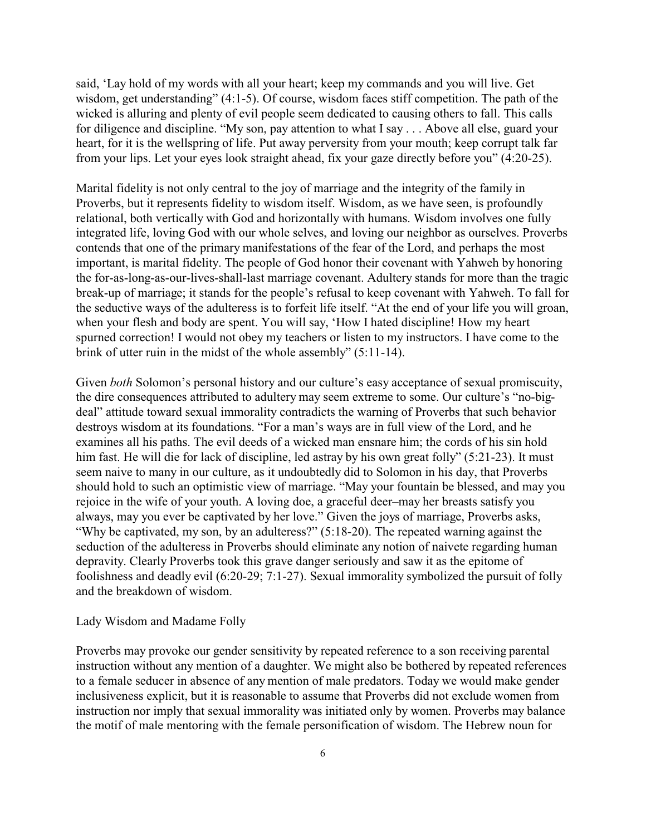said, 'Lay hold of my words with all your heart; keep my commands and you will live. Get wisdom, get understanding" (4:1-5). Of course, wisdom faces stiff competition. The path of the wicked is alluring and plenty of evil people seem dedicated to causing others to fall. This calls for diligence and discipline. "My son, pay attention to what I say . . . Above all else, guard your heart, for it is the wellspring of life. Put away perversity from your mouth; keep corrupt talk far from your lips. Let your eyes look straight ahead, fix your gaze directly before you" (4:20-25).

Marital fidelity is not only central to the joy of marriage and the integrity of the family in Proverbs, but it represents fidelity to wisdom itself. Wisdom, as we have seen, is profoundly relational, both vertically with God and horizontally with humans. Wisdom involves one fully integrated life, loving God with our whole selves, and loving our neighbor as ourselves. Proverbs contends that one of the primary manifestations of the fear of the Lord, and perhaps the most important, is marital fidelity. The people of God honor their covenant with Yahweh by honoring the for-as-long-as-our-lives-shall-last marriage covenant. Adultery stands for more than the tragic break-up of marriage; it stands for the people's refusal to keep covenant with Yahweh. To fall for the seductive ways of the adulteress is to forfeit life itself. "At the end of your life you will groan, when your flesh and body are spent. You will say, 'How I hated discipline! How my heart spurned correction! I would not obey my teachers or listen to my instructors. I have come to the brink of utter ruin in the midst of the whole assembly" (5:11-14).

Given *both* Solomon's personal history and our culture's easy acceptance of sexual promiscuity, the dire consequences attributed to adultery may seem extreme to some. Our culture's "no-bigdeal" attitude toward sexual immorality contradicts the warning of Proverbs that such behavior destroys wisdom at its foundations. "For a man's ways are in full view of the Lord, and he examines all his paths. The evil deeds of a wicked man ensnare him; the cords of his sin hold him fast. He will die for lack of discipline, led astray by his own great folly" (5:21-23). It must seem naive to many in our culture, as it undoubtedly did to Solomon in his day, that Proverbs should hold to such an optimistic view of marriage. "May your fountain be blessed, and may you rejoice in the wife of your youth. A loving doe, a graceful deer–may her breasts satisfy you always, may you ever be captivated by her love." Given the joys of marriage, Proverbs asks, "Why be captivated, my son, by an adulteress?" (5:18-20). The repeated warning against the seduction of the adulteress in Proverbs should eliminate any notion of naivete regarding human depravity. Clearly Proverbs took this grave danger seriously and saw it as the epitome of foolishness and deadly evil (6:20-29; 7:1-27). Sexual immorality symbolized the pursuit of folly and the breakdown of wisdom.

## Lady Wisdom and Madame Folly

Proverbs may provoke our gender sensitivity by repeated reference to a son receiving parental instruction without any mention of a daughter. We might also be bothered by repeated references to a female seducer in absence of any mention of male predators. Today we would make gender inclusiveness explicit, but it is reasonable to assume that Proverbs did not exclude women from instruction nor imply that sexual immorality was initiated only by women. Proverbs may balance the motif of male mentoring with the female personification of wisdom. The Hebrew noun for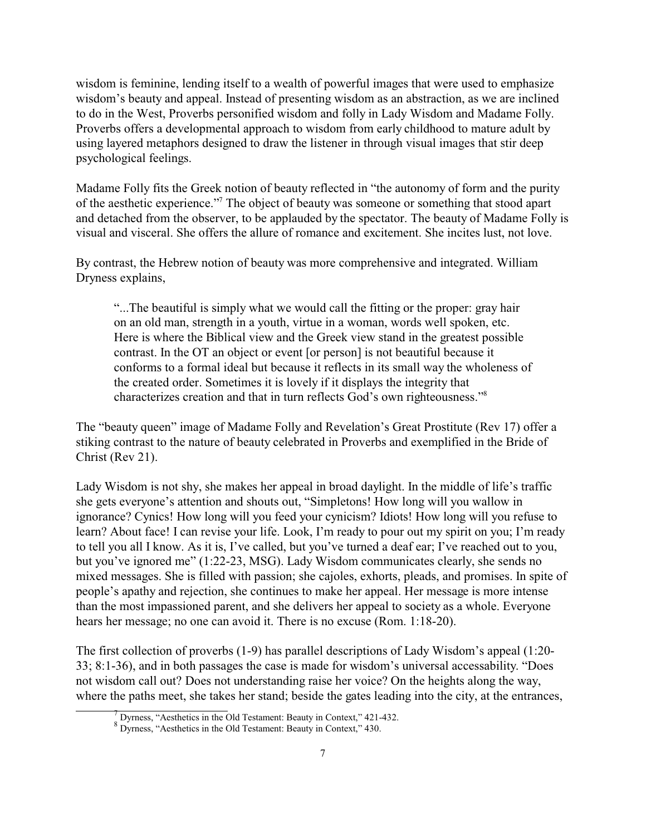wisdom is feminine, lending itself to a wealth of powerful images that were used to emphasize wisdom's beauty and appeal. Instead of presenting wisdom as an abstraction, as we are inclined to do in the West, Proverbs personified wisdom and folly in Lady Wisdom and Madame Folly. Proverbs offers a developmental approach to wisdom from early childhood to mature adult by using layered metaphors designed to draw the listener in through visual images that stir deep psychological feelings.

Madame Folly fits the Greek notion of beauty reflected in "the autonomy of form and the purity of the aesthetic experience."<sup>7</sup> The object of beauty was someone or something that stood apart and detached from the observer, to be applauded by the spectator. The beauty of Madame Folly is visual and visceral. She offers the allure of romance and excitement. She incites lust, not love.

By contrast, the Hebrew notion of beauty was more comprehensive and integrated. William Dryness explains,

"...The beautiful is simply what we would call the fitting or the proper: gray hair on an old man, strength in a youth, virtue in a woman, words well spoken, etc. Here is where the Biblical view and the Greek view stand in the greatest possible contrast. In the OT an object or event [or person] is not beautiful because it conforms to a formal ideal but because it reflects in its small way the wholeness of the created order. Sometimes it is lovely if it displays the integrity that characterizes creation and that in turn reflects God's own righteousness."<sup>8</sup>

The "beauty queen" image of Madame Folly and Revelation's Great Prostitute (Rev 17) offer a stiking contrast to the nature of beauty celebrated in Proverbs and exemplified in the Bride of Christ (Rev 21).

Lady Wisdom is not shy, she makes her appeal in broad daylight. In the middle of life's traffic she gets everyone's attention and shouts out, "Simpletons! How long will you wallow in ignorance? Cynics! How long will you feed your cynicism? Idiots! How long will you refuse to learn? About face! I can revise your life. Look, I'm ready to pour out my spirit on you; I'm ready to tell you all I know. As it is, I've called, but you've turned a deaf ear; I've reached out to you, but you've ignored me" (1:22-23, MSG). Lady Wisdom communicates clearly, she sends no mixed messages. She is filled with passion; she cajoles, exhorts, pleads, and promises. In spite of people's apathy and rejection, she continues to make her appeal. Her message is more intense than the most impassioned parent, and she delivers her appeal to society as a whole. Everyone hears her message; no one can avoid it. There is no excuse (Rom. 1:18-20).

The first collection of proverbs (1-9) has parallel descriptions of Lady Wisdom's appeal (1:20- 33; 8:1-36), and in both passages the case is made for wisdom's universal accessability. "Does not wisdom call out? Does not understanding raise her voice? On the heights along the way, where the paths meet, she takes her stand; beside the gates leading into the city, at the entrances,

<sup>7</sup> Dyrness, "Aesthetics in the Old Testament: Beauty in Context," 421-432.

<sup>8</sup> Dyrness, "Aesthetics in the Old Testament: Beauty in Context," 430.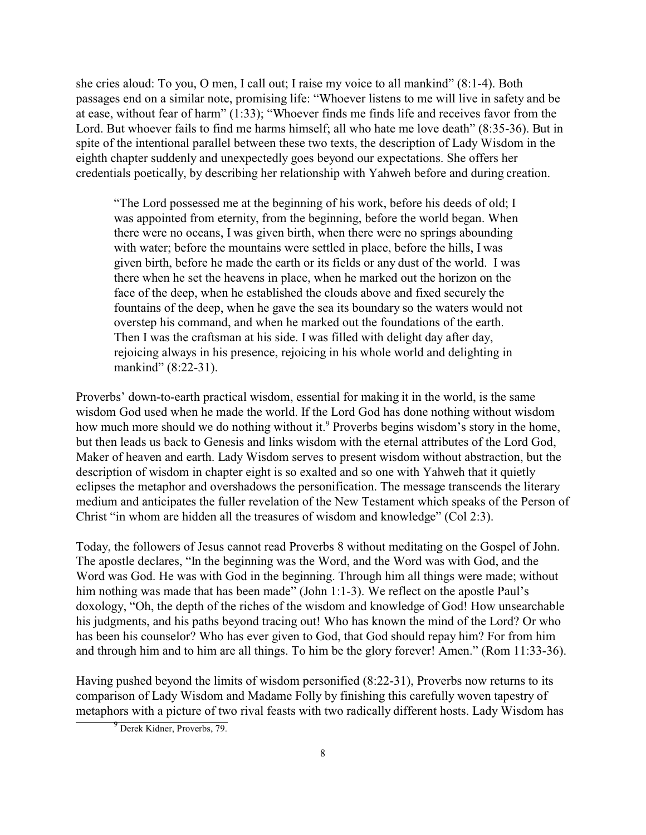she cries aloud: To you, O men, I call out; I raise my voice to all mankind" (8:1-4). Both passages end on a similar note, promising life: "Whoever listens to me will live in safety and be at ease, without fear of harm" (1:33); "Whoever finds me finds life and receives favor from the Lord. But whoever fails to find me harms himself; all who hate me love death" (8:35-36). But in spite of the intentional parallel between these two texts, the description of Lady Wisdom in the eighth chapter suddenly and unexpectedly goes beyond our expectations. She offers her credentials poetically, by describing her relationship with Yahweh before and during creation.

"The Lord possessed me at the beginning of his work, before his deeds of old; I was appointed from eternity, from the beginning, before the world began. When there were no oceans, I was given birth, when there were no springs abounding with water; before the mountains were settled in place, before the hills, I was given birth, before he made the earth or its fields or any dust of the world. I was there when he set the heavens in place, when he marked out the horizon on the face of the deep, when he established the clouds above and fixed securely the fountains of the deep, when he gave the sea its boundary so the waters would not overstep his command, and when he marked out the foundations of the earth. Then I was the craftsman at his side. I was filled with delight day after day, rejoicing always in his presence, rejoicing in his whole world and delighting in mankind" (8:22-31).

Proverbs' down-to-earth practical wisdom, essential for making it in the world, is the same wisdom God used when he made the world. If the Lord God has done nothing without wisdom how much more should we do nothing without it. Proverbs begins wisdom's story in the home, but then leads us back to Genesis and links wisdom with the eternal attributes of the Lord God, Maker of heaven and earth. Lady Wisdom serves to present wisdom without abstraction, but the description of wisdom in chapter eight is so exalted and so one with Yahweh that it quietly eclipses the metaphor and overshadows the personification. The message transcends the literary medium and anticipates the fuller revelation of the New Testament which speaks of the Person of Christ "in whom are hidden all the treasures of wisdom and knowledge" (Col 2:3).

Today, the followers of Jesus cannot read Proverbs 8 without meditating on the Gospel of John. The apostle declares, "In the beginning was the Word, and the Word was with God, and the Word was God. He was with God in the beginning. Through him all things were made; without him nothing was made that has been made" (John 1:1-3). We reflect on the apostle Paul's doxology, "Oh, the depth of the riches of the wisdom and knowledge of God! How unsearchable his judgments, and his paths beyond tracing out! Who has known the mind of the Lord? Or who has been his counselor? Who has ever given to God, that God should repay him? For from him and through him and to him are all things. To him be the glory forever! Amen." (Rom 11:33-36).

Having pushed beyond the limits of wisdom personified (8:22-31), Proverbs now returns to its comparison of Lady Wisdom and Madame Folly by finishing this carefully woven tapestry of metaphors with a picture of two rival feasts with two radically different hosts. Lady Wisdom has

<sup>&</sup>lt;sup>9</sup> Derek Kidner, Proverbs, 79.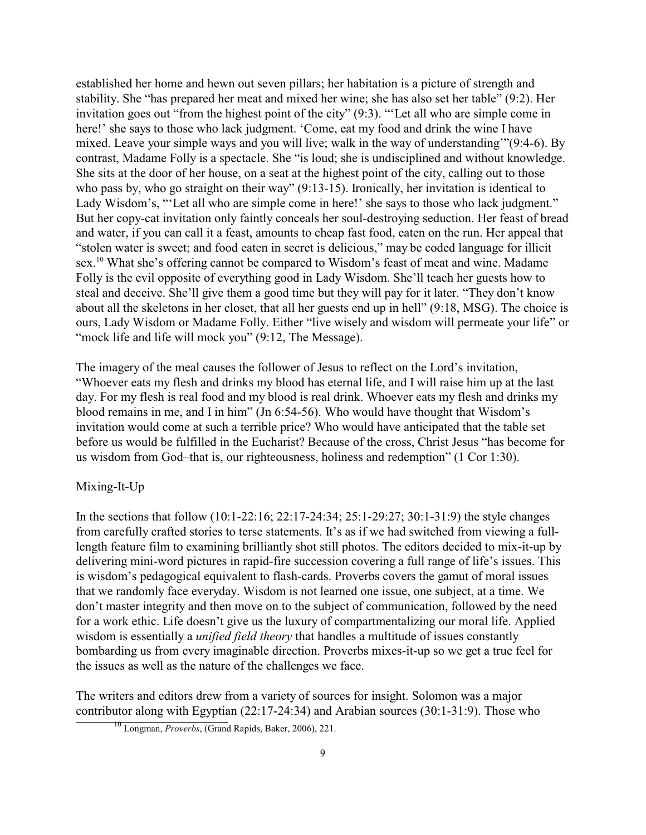established her home and hewn out seven pillars; her habitation is a picture of strength and stability. She "has prepared her meat and mixed her wine; she has also set her table" (9:2). Her invitation goes out "from the highest point of the city" (9:3). "'Let all who are simple come in here!' she says to those who lack judgment. 'Come, eat my food and drink the wine I have mixed. Leave your simple ways and you will live; walk in the way of understanding'"(9:4-6). By contrast, Madame Folly is a spectacle. She "is loud; she is undisciplined and without knowledge. She sits at the door of her house, on a seat at the highest point of the city, calling out to those who pass by, who go straight on their way" (9:13-15). Ironically, her invitation is identical to Lady Wisdom's, "Let all who are simple come in here!' she says to those who lack judgment." But her copy-cat invitation only faintly conceals her soul-destroying seduction. Her feast of bread and water, if you can call it a feast, amounts to cheap fast food, eaten on the run. Her appeal that "stolen water is sweet; and food eaten in secret is delicious," may be coded language for illicit sex.<sup>10</sup> What she's offering cannot be compared to Wisdom's feast of meat and wine. Madame Folly is the evil opposite of everything good in Lady Wisdom. She'll teach her guests how to steal and deceive. She'll give them a good time but they will pay for it later. "They don't know about all the skeletons in her closet, that all her guests end up in hell" (9:18, MSG). The choice is ours, Lady Wisdom or Madame Folly. Either "live wisely and wisdom will permeate your life" or "mock life and life will mock you" (9:12, The Message).

The imagery of the meal causes the follower of Jesus to reflect on the Lord's invitation, "Whoever eats my flesh and drinks my blood has eternal life, and I will raise him up at the last day. For my flesh is real food and my blood is real drink. Whoever eats my flesh and drinks my blood remains in me, and I in him" (Jn 6:54-56). Who would have thought that Wisdom's invitation would come at such a terrible price? Who would have anticipated that the table set before us would be fulfilled in the Eucharist? Because of the cross, Christ Jesus "has become for us wisdom from God–that is, our righteousness, holiness and redemption" (1 Cor 1:30).

# Mixing-It-Up

In the sections that follow (10:1-22:16; 22:17-24:34; 25:1-29:27; 30:1-31:9) the style changes from carefully crafted stories to terse statements. It's as if we had switched from viewing a fulllength feature film to examining brilliantly shot still photos. The editors decided to mix-it-up by delivering mini-word pictures in rapid-fire succession covering a full range of life's issues. This is wisdom's pedagogical equivalent to flash-cards. Proverbs covers the gamut of moral issues that we randomly face everyday. Wisdom is not learned one issue, one subject, at a time. We don't master integrity and then move on to the subject of communication, followed by the need for a work ethic. Life doesn't give us the luxury of compartmentalizing our moral life. Applied wisdom is essentially a *unified field theory* that handles a multitude of issues constantly bombarding us from every imaginable direction. Proverbs mixes-it-up so we get a true feel for the issues as well as the nature of the challenges we face.

The writers and editors drew from a variety of sources for insight. Solomon was a major contributor along with Egyptian (22:17-24:34) and Arabian sources (30:1-31:9). Those who

<sup>10</sup> Longman, *Proverbs*, (Grand Rapids, Baker, 2006), 221.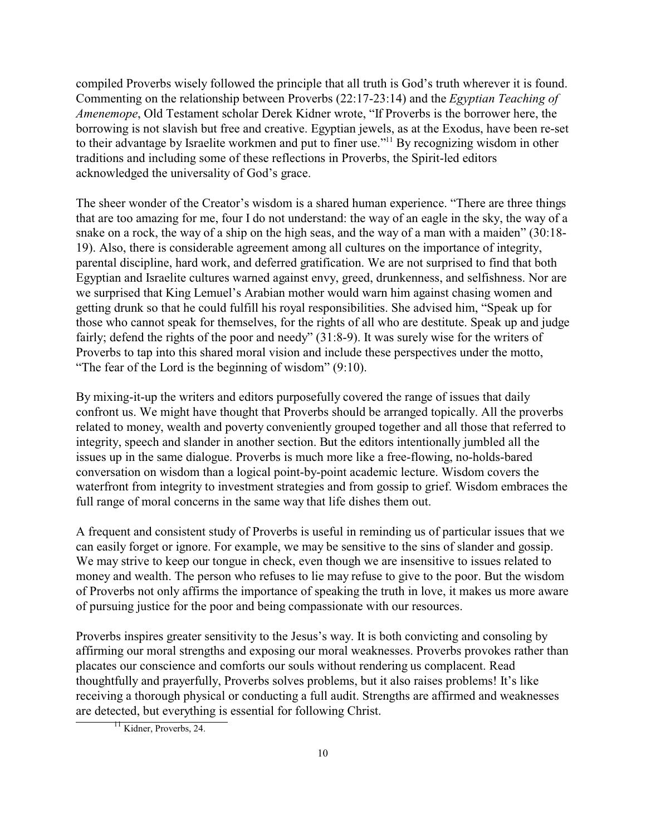compiled Proverbs wisely followed the principle that all truth is God's truth wherever it is found. Commenting on the relationship between Proverbs (22:17-23:14) and the *Egyptian Teaching of Amenemope*, Old Testament scholar Derek Kidner wrote, "If Proverbs is the borrower here, the borrowing is not slavish but free and creative. Egyptian jewels, as at the Exodus, have been re-set to their advantage by Israelite workmen and put to finer use."<sup>11</sup> By recognizing wisdom in other traditions and including some of these reflections in Proverbs, the Spirit-led editors acknowledged the universality of God's grace.

The sheer wonder of the Creator's wisdom is a shared human experience. "There are three things that are too amazing for me, four I do not understand: the way of an eagle in the sky, the way of a snake on a rock, the way of a ship on the high seas, and the way of a man with a maiden" (30:18- 19). Also, there is considerable agreement among all cultures on the importance of integrity, parental discipline, hard work, and deferred gratification. We are not surprised to find that both Egyptian and Israelite cultures warned against envy, greed, drunkenness, and selfishness. Nor are we surprised that King Lemuel's Arabian mother would warn him against chasing women and getting drunk so that he could fulfill his royal responsibilities. She advised him, "Speak up for those who cannot speak for themselves, for the rights of all who are destitute. Speak up and judge fairly; defend the rights of the poor and needy" (31:8-9). It was surely wise for the writers of Proverbs to tap into this shared moral vision and include these perspectives under the motto, "The fear of the Lord is the beginning of wisdom" (9:10).

By mixing-it-up the writers and editors purposefully covered the range of issues that daily confront us. We might have thought that Proverbs should be arranged topically. All the proverbs related to money, wealth and poverty conveniently grouped together and all those that referred to integrity, speech and slander in another section. But the editors intentionally jumbled all the issues up in the same dialogue. Proverbs is much more like a free-flowing, no-holds-bared conversation on wisdom than a logical point-by-point academic lecture. Wisdom covers the waterfront from integrity to investment strategies and from gossip to grief. Wisdom embraces the full range of moral concerns in the same way that life dishes them out.

A frequent and consistent study of Proverbs is useful in reminding us of particular issues that we can easily forget or ignore. For example, we may be sensitive to the sins of slander and gossip. We may strive to keep our tongue in check, even though we are insensitive to issues related to money and wealth. The person who refuses to lie may refuse to give to the poor. But the wisdom of Proverbs not only affirms the importance of speaking the truth in love, it makes us more aware of pursuing justice for the poor and being compassionate with our resources.

Proverbs inspires greater sensitivity to the Jesus's way. It is both convicting and consoling by affirming our moral strengths and exposing our moral weaknesses. Proverbs provokes rather than placates our conscience and comforts our souls without rendering us complacent. Read thoughtfully and prayerfully, Proverbs solves problems, but it also raises problems! It's like receiving a thorough physical or conducting a full audit. Strengths are affirmed and weaknesses are detected, but everything is essential for following Christ.

<sup>11</sup> Kidner, Proverbs, 24.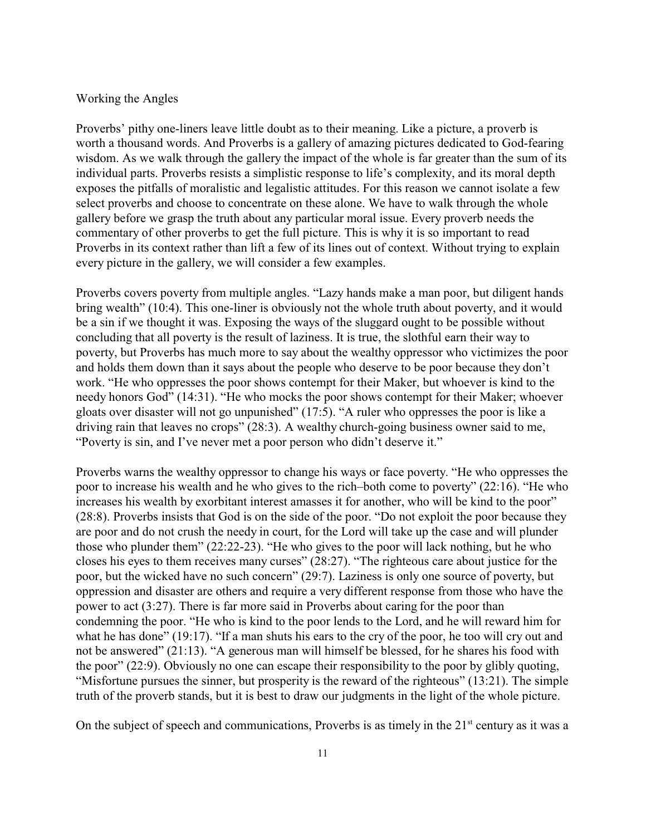# Working the Angles

Proverbs' pithy one-liners leave little doubt as to their meaning. Like a picture, a proverb is worth a thousand words. And Proverbs is a gallery of amazing pictures dedicated to God-fearing wisdom. As we walk through the gallery the impact of the whole is far greater than the sum of its individual parts. Proverbs resists a simplistic response to life's complexity, and its moral depth exposes the pitfalls of moralistic and legalistic attitudes. For this reason we cannot isolate a few select proverbs and choose to concentrate on these alone. We have to walk through the whole gallery before we grasp the truth about any particular moral issue. Every proverb needs the commentary of other proverbs to get the full picture. This is why it is so important to read Proverbs in its context rather than lift a few of its lines out of context. Without trying to explain every picture in the gallery, we will consider a few examples.

Proverbs covers poverty from multiple angles. "Lazy hands make a man poor, but diligent hands bring wealth" (10:4). This one-liner is obviously not the whole truth about poverty, and it would be a sin if we thought it was. Exposing the ways of the sluggard ought to be possible without concluding that all poverty is the result of laziness. It is true, the slothful earn their way to poverty, but Proverbs has much more to say about the wealthy oppressor who victimizes the poor and holds them down than it says about the people who deserve to be poor because they don't work. "He who oppresses the poor shows contempt for their Maker, but whoever is kind to the needy honors God" (14:31). "He who mocks the poor shows contempt for their Maker; whoever gloats over disaster will not go unpunished" (17:5). "A ruler who oppresses the poor is like a driving rain that leaves no crops" (28:3). A wealthy church-going business owner said to me, "Poverty is sin, and I've never met a poor person who didn't deserve it."

Proverbs warns the wealthy oppressor to change his ways or face poverty. "He who oppresses the poor to increase his wealth and he who gives to the rich–both come to poverty" (22:16). "He who increases his wealth by exorbitant interest amasses it for another, who will be kind to the poor" (28:8). Proverbs insists that God is on the side of the poor. "Do not exploit the poor because they are poor and do not crush the needy in court, for the Lord will take up the case and will plunder those who plunder them" (22:22-23). "He who gives to the poor will lack nothing, but he who closes his eyes to them receives many curses" (28:27). "The righteous care about justice for the poor, but the wicked have no such concern" (29:7). Laziness is only one source of poverty, but oppression and disaster are others and require a very different response from those who have the power to act (3:27). There is far more said in Proverbs about caring for the poor than condemning the poor. "He who is kind to the poor lends to the Lord, and he will reward him for what he has done" (19:17). "If a man shuts his ears to the cry of the poor, he too will cry out and not be answered" (21:13). "A generous man will himself be blessed, for he shares his food with the poor" (22:9). Obviously no one can escape their responsibility to the poor by glibly quoting, "Misfortune pursues the sinner, but prosperity is the reward of the righteous" (13:21). The simple truth of the proverb stands, but it is best to draw our judgments in the light of the whole picture.

On the subject of speech and communications, Proverbs is as timely in the  $21<sup>st</sup>$  century as it was a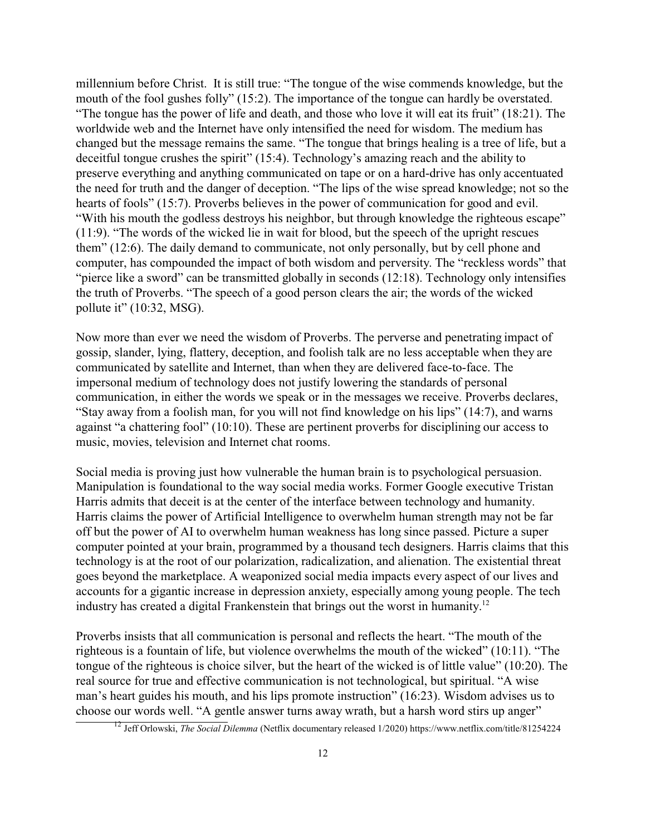millennium before Christ. It is still true: "The tongue of the wise commends knowledge, but the mouth of the fool gushes folly" (15:2). The importance of the tongue can hardly be overstated. "The tongue has the power of life and death, and those who love it will eat its fruit" (18:21). The worldwide web and the Internet have only intensified the need for wisdom. The medium has changed but the message remains the same. "The tongue that brings healing is a tree of life, but a deceitful tongue crushes the spirit" (15:4). Technology's amazing reach and the ability to preserve everything and anything communicated on tape or on a hard-drive has only accentuated the need for truth and the danger of deception. "The lips of the wise spread knowledge; not so the hearts of fools" (15:7). Proverbs believes in the power of communication for good and evil. "With his mouth the godless destroys his neighbor, but through knowledge the righteous escape" (11:9). "The words of the wicked lie in wait for blood, but the speech of the upright rescues them" (12:6). The daily demand to communicate, not only personally, but by cell phone and computer, has compounded the impact of both wisdom and perversity. The "reckless words" that "pierce like a sword" can be transmitted globally in seconds (12:18). Technology only intensifies the truth of Proverbs. "The speech of a good person clears the air; the words of the wicked pollute it" (10:32, MSG).

Now more than ever we need the wisdom of Proverbs. The perverse and penetrating impact of gossip, slander, lying, flattery, deception, and foolish talk are no less acceptable when they are communicated by satellite and Internet, than when they are delivered face-to-face. The impersonal medium of technology does not justify lowering the standards of personal communication, in either the words we speak or in the messages we receive. Proverbs declares, "Stay away from a foolish man, for you will not find knowledge on his lips" (14:7), and warns against "a chattering fool" (10:10). These are pertinent proverbs for disciplining our access to music, movies, television and Internet chat rooms.

Social media is proving just how vulnerable the human brain is to psychological persuasion. Manipulation is foundational to the way social media works. Former Google executive Tristan Harris admits that deceit is at the center of the interface between technology and humanity. Harris claims the power of Artificial Intelligence to overwhelm human strength may not be far off but the power of AI to overwhelm human weakness has long since passed. Picture a super computer pointed at your brain, programmed by a thousand tech designers. Harris claims that this technology is at the root of our polarization, radicalization, and alienation. The existential threat goes beyond the marketplace. A weaponized social media impacts every aspect of our lives and accounts for a gigantic increase in depression anxiety, especially among young people. The tech industry has created a digital Frankenstein that brings out the worst in humanity.<sup>12</sup>

Proverbs insists that all communication is personal and reflects the heart. "The mouth of the righteous is a fountain of life, but violence overwhelms the mouth of the wicked" (10:11). "The tongue of the righteous is choice silver, but the heart of the wicked is of little value" (10:20). The real source for true and effective communication is not technological, but spiritual. "A wise man's heart guides his mouth, and his lips promote instruction" (16:23). Wisdom advises us to choose our words well. "A gentle answer turns away wrath, but a harsh word stirs up anger"

<sup>&</sup>lt;sup>12</sup> Jeff Orlowski, *The Social Dilemma* (Netflix documentary released 1/2020) https://www.netflix.com/title/81254224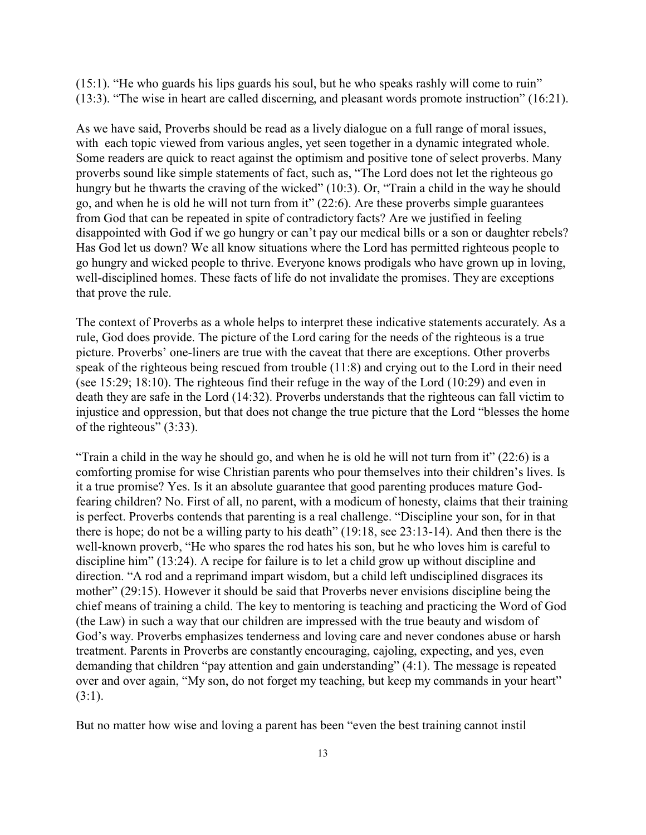(15:1). "He who guards his lips guards his soul, but he who speaks rashly will come to ruin" (13:3). "The wise in heart are called discerning, and pleasant words promote instruction" (16:21).

As we have said, Proverbs should be read as a lively dialogue on a full range of moral issues, with each topic viewed from various angles, yet seen together in a dynamic integrated whole. Some readers are quick to react against the optimism and positive tone of select proverbs. Many proverbs sound like simple statements of fact, such as, "The Lord does not let the righteous go hungry but he thwarts the craving of the wicked" (10:3). Or, "Train a child in the way he should go, and when he is old he will not turn from it" (22:6). Are these proverbs simple guarantees from God that can be repeated in spite of contradictory facts? Are we justified in feeling disappointed with God if we go hungry or can't pay our medical bills or a son or daughter rebels? Has God let us down? We all know situations where the Lord has permitted righteous people to go hungry and wicked people to thrive. Everyone knows prodigals who have grown up in loving, well-disciplined homes. These facts of life do not invalidate the promises. They are exceptions that prove the rule.

The context of Proverbs as a whole helps to interpret these indicative statements accurately. As a rule, God does provide. The picture of the Lord caring for the needs of the righteous is a true picture. Proverbs' one-liners are true with the caveat that there are exceptions. Other proverbs speak of the righteous being rescued from trouble (11:8) and crying out to the Lord in their need (see 15:29; 18:10). The righteous find their refuge in the way of the Lord (10:29) and even in death they are safe in the Lord (14:32). Proverbs understands that the righteous can fall victim to injustice and oppression, but that does not change the true picture that the Lord "blesses the home of the righteous" (3:33).

"Train a child in the way he should go, and when he is old he will not turn from it" (22:6) is a comforting promise for wise Christian parents who pour themselves into their children's lives. Is it a true promise? Yes. Is it an absolute guarantee that good parenting produces mature Godfearing children? No. First of all, no parent, with a modicum of honesty, claims that their training is perfect. Proverbs contends that parenting is a real challenge. "Discipline your son, for in that there is hope; do not be a willing party to his death" (19:18, see 23:13-14). And then there is the well-known proverb, "He who spares the rod hates his son, but he who loves him is careful to discipline him" (13:24). A recipe for failure is to let a child grow up without discipline and direction. "A rod and a reprimand impart wisdom, but a child left undisciplined disgraces its mother" (29:15). However it should be said that Proverbs never envisions discipline being the chief means of training a child. The key to mentoring is teaching and practicing the Word of God (the Law) in such a way that our children are impressed with the true beauty and wisdom of God's way. Proverbs emphasizes tenderness and loving care and never condones abuse or harsh treatment. Parents in Proverbs are constantly encouraging, cajoling, expecting, and yes, even demanding that children "pay attention and gain understanding" (4:1). The message is repeated over and over again, "My son, do not forget my teaching, but keep my commands in your heart"  $(3:1)$ .

But no matter how wise and loving a parent has been "even the best training cannot instil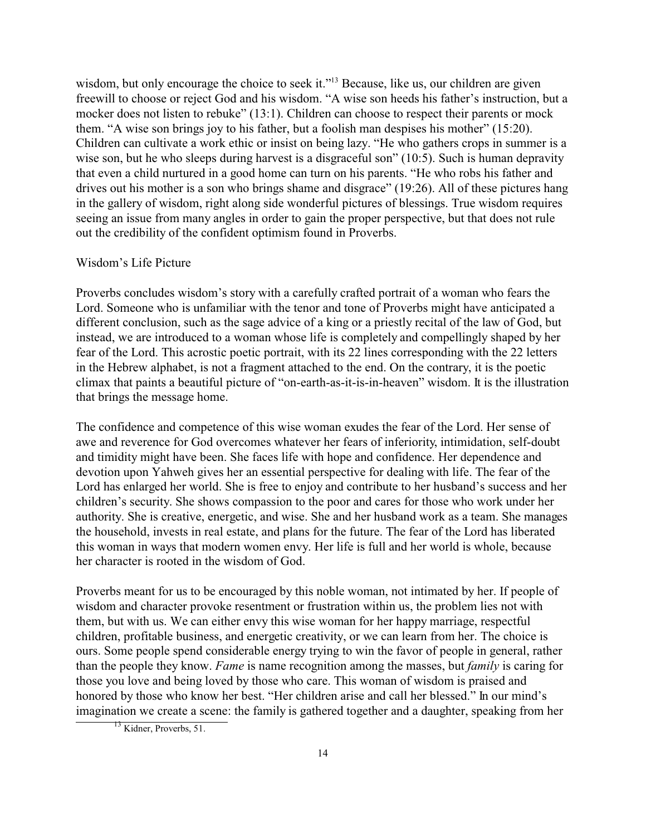wisdom, but only encourage the choice to seek it."<sup>13</sup> Because, like us, our children are given freewill to choose or reject God and his wisdom. "A wise son heeds his father's instruction, but a mocker does not listen to rebuke" (13:1). Children can choose to respect their parents or mock them. "A wise son brings joy to his father, but a foolish man despises his mother" (15:20). Children can cultivate a work ethic or insist on being lazy. "He who gathers crops in summer is a wise son, but he who sleeps during harvest is a disgraceful son" (10:5). Such is human depravity that even a child nurtured in a good home can turn on his parents. "He who robs his father and drives out his mother is a son who brings shame and disgrace" (19:26). All of these pictures hang in the gallery of wisdom, right along side wonderful pictures of blessings. True wisdom requires seeing an issue from many angles in order to gain the proper perspective, but that does not rule out the credibility of the confident optimism found in Proverbs.

# Wisdom's Life Picture

Proverbs concludes wisdom's story with a carefully crafted portrait of a woman who fears the Lord. Someone who is unfamiliar with the tenor and tone of Proverbs might have anticipated a different conclusion, such as the sage advice of a king or a priestly recital of the law of God, but instead, we are introduced to a woman whose life is completely and compellingly shaped by her fear of the Lord. This acrostic poetic portrait, with its 22 lines corresponding with the 22 letters in the Hebrew alphabet, is not a fragment attached to the end. On the contrary, it is the poetic climax that paints a beautiful picture of "on-earth-as-it-is-in-heaven" wisdom. It is the illustration that brings the message home.

The confidence and competence of this wise woman exudes the fear of the Lord. Her sense of awe and reverence for God overcomes whatever her fears of inferiority, intimidation, self-doubt and timidity might have been. She faces life with hope and confidence. Her dependence and devotion upon Yahweh gives her an essential perspective for dealing with life. The fear of the Lord has enlarged her world. She is free to enjoy and contribute to her husband's success and her children's security. She shows compassion to the poor and cares for those who work under her authority. She is creative, energetic, and wise. She and her husband work as a team. She manages the household, invests in real estate, and plans for the future. The fear of the Lord has liberated this woman in ways that modern women envy. Her life is full and her world is whole, because her character is rooted in the wisdom of God.

Proverbs meant for us to be encouraged by this noble woman, not intimated by her. If people of wisdom and character provoke resentment or frustration within us, the problem lies not with them, but with us. We can either envy this wise woman for her happy marriage, respectful children, profitable business, and energetic creativity, or we can learn from her. The choice is ours. Some people spend considerable energy trying to win the favor of people in general, rather than the people they know. *Fame* is name recognition among the masses, but *family* is caring for those you love and being loved by those who care. This woman of wisdom is praised and honored by those who know her best. "Her children arise and call her blessed." In our mind's imagination we create a scene: the family is gathered together and a daughter, speaking from her

<sup>&</sup>lt;sup>13</sup> Kidner, Proverbs, 51.